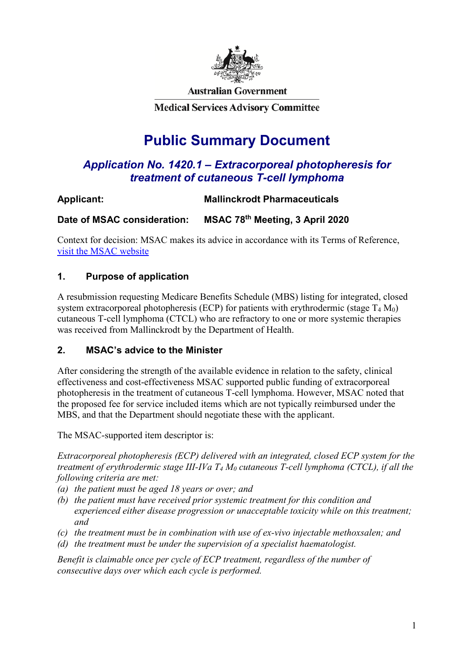

**Australian Government** 

**Medical Services Advisory Committee** 

# **Public Summary Document**

# *Application No. 1420.1 – Extracorporeal photopheresis for treatment of cutaneous T-cell lymphoma*

# **Applicant: Mallinckrodt Pharmaceuticals**

# **Date of MSAC consideration: MSAC 78th Meeting, 3 April 2020**

Context for decision: MSAC makes its advice in accordance with its Terms of Reference, [visit the MSAC website](http://www.msac.gov.au/)

### **1. Purpose of application**

A resubmission requesting Medicare Benefits Schedule (MBS) listing for integrated, closed system extracorporeal photopheresis (ECP) for patients with erythrodermic (stage  $T_4 M_0$ ) cutaneous T-cell lymphoma (CTCL) who are refractory to one or more systemic therapies was received from Mallinckrodt by the Department of Health.

### **2. MSAC's advice to the Minister**

After considering the strength of the available evidence in relation to the safety, clinical effectiveness and cost-effectiveness MSAC supported public funding of extracorporeal photopheresis in the treatment of cutaneous T-cell lymphoma. However, MSAC noted that the proposed fee for service included items which are not typically reimbursed under the MBS, and that the Department should negotiate these with the applicant.

The MSAC-supported item descriptor is:

*Extracorporeal photopheresis (ECP) delivered with an integrated, closed ECP system for the treatment of erythrodermic stage III-IVa T4 M0 cutaneous T-cell lymphoma (CTCL), if all the following criteria are met:*

- *(a) the patient must be aged 18 years or over; and*
- *(b) the patient must have received prior systemic treatment for this condition and experienced either disease progression or unacceptable toxicity while on this treatment; and*
- *(c) the treatment must be in combination with use of ex-vivo injectable methoxsalen; and*
- *(d) the treatment must be under the supervision of a specialist haematologist.*

*Benefit is claimable once per cycle of ECP treatment, regardless of the number of consecutive days over which each cycle is performed.*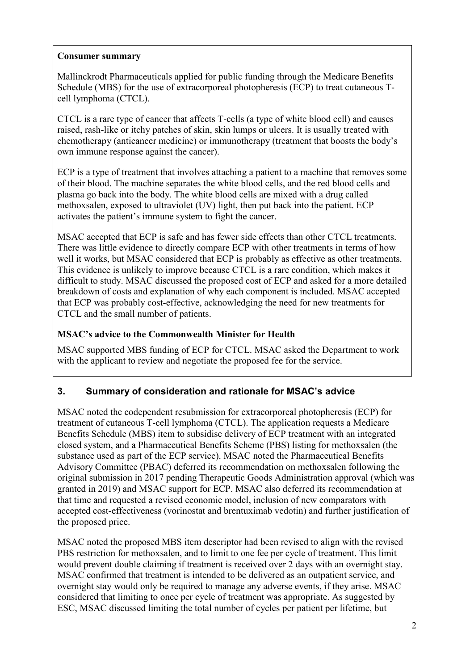#### **Consumer summary**

Mallinckrodt Pharmaceuticals applied for public funding through the Medicare Benefits Schedule (MBS) for the use of extracorporeal photopheresis (ECP) to treat cutaneous Tcell lymphoma (CTCL).

CTCL is a rare type of cancer that affects T-cells (a type of white blood cell) and causes raised, rash-like or itchy patches of skin, skin lumps or ulcers. It is usually treated with chemotherapy (anticancer medicine) or immunotherapy (treatment that boosts the body's own immune response against the cancer).

ECP is a type of treatment that involves attaching a patient to a machine that removes some of their blood. The machine separates the white blood cells, and the red blood cells and plasma go back into the body. The white blood cells are mixed with a drug called methoxsalen, exposed to ultraviolet (UV) light, then put back into the patient. ECP activates the patient's immune system to fight the cancer.

MSAC accepted that ECP is safe and has fewer side effects than other CTCL treatments. There was little evidence to directly compare ECP with other treatments in terms of how well it works, but MSAC considered that ECP is probably as effective as other treatments. This evidence is unlikely to improve because CTCL is a rare condition, which makes it difficult to study. MSAC discussed the proposed cost of ECP and asked for a more detailed breakdown of costs and explanation of why each component is included. MSAC accepted that ECP was probably cost-effective, acknowledging the need for new treatments for CTCL and the small number of patients.

#### **MSAC's advice to the Commonwealth Minister for Health**

MSAC supported MBS funding of ECP for CTCL. MSAC asked the Department to work with the applicant to review and negotiate the proposed fee for the service.

### **3. Summary of consideration and rationale for MSAC's advice**

MSAC noted the codependent resubmission for extracorporeal photopheresis (ECP) for treatment of cutaneous T-cell lymphoma (CTCL). The application requests a Medicare Benefits Schedule (MBS) item to subsidise delivery of ECP treatment with an integrated closed system, and a Pharmaceutical Benefits Scheme (PBS) listing for methoxsalen (the substance used as part of the ECP service). MSAC noted the Pharmaceutical Benefits Advisory Committee (PBAC) deferred its recommendation on methoxsalen following the original submission in 2017 pending Therapeutic Goods Administration approval (which was granted in 2019) and MSAC support for ECP. MSAC also deferred its recommendation at that time and requested a revised economic model, inclusion of new comparators with accepted cost-effectiveness (vorinostat and brentuximab vedotin) and further justification of the proposed price.

MSAC noted the proposed MBS item descriptor had been revised to align with the revised PBS restriction for methoxsalen, and to limit to one fee per cycle of treatment. This limit would prevent double claiming if treatment is received over 2 days with an overnight stay. MSAC confirmed that treatment is intended to be delivered as an outpatient service, and overnight stay would only be required to manage any adverse events, if they arise. MSAC considered that limiting to once per cycle of treatment was appropriate. As suggested by ESC, MSAC discussed limiting the total number of cycles per patient per lifetime, but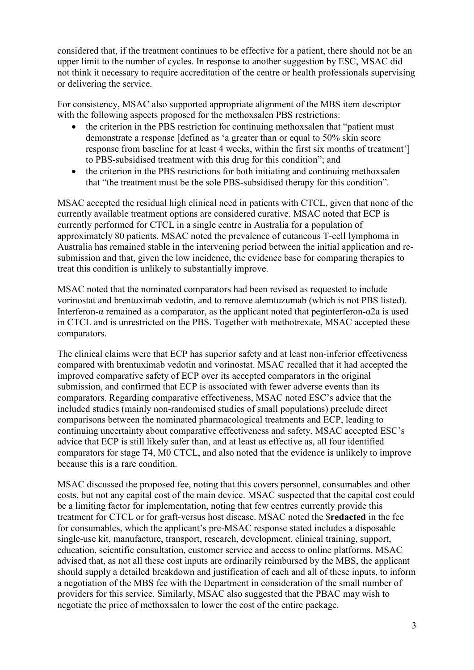considered that, if the treatment continues to be effective for a patient, there should not be an upper limit to the number of cycles. In response to another suggestion by ESC, MSAC did not think it necessary to require accreditation of the centre or health professionals supervising or delivering the service.

For consistency, MSAC also supported appropriate alignment of the MBS item descriptor with the following aspects proposed for the methoxsalen PBS restrictions:

- the criterion in the PBS restriction for continuing methoxsalen that "patient must" demonstrate a response [defined as 'a greater than or equal to 50% skin score response from baseline for at least 4 weeks, within the first six months of treatment'] to PBS-subsidised treatment with this drug for this condition"; and
- the criterion in the PBS restrictions for both initiating and continuing methoxsalen that "the treatment must be the sole PBS-subsidised therapy for this condition".

MSAC accepted the residual high clinical need in patients with CTCL, given that none of the currently available treatment options are considered curative. MSAC noted that ECP is currently performed for CTCL in a single centre in Australia for a population of approximately 80 patients. MSAC noted the prevalence of cutaneous T-cell lymphoma in Australia has remained stable in the intervening period between the initial application and resubmission and that, given the low incidence, the evidence base for comparing therapies to treat this condition is unlikely to substantially improve.

MSAC noted that the nominated comparators had been revised as requested to include vorinostat and brentuximab vedotin, and to remove alemtuzumab (which is not PBS listed). Interferon-α remained as a comparator, as the applicant noted that peginterferon-α2a is used in CTCL and is unrestricted on the PBS. Together with methotrexate, MSAC accepted these comparators.

The clinical claims were that ECP has superior safety and at least non-inferior effectiveness compared with brentuximab vedotin and vorinostat. MSAC recalled that it had accepted the improved comparative safety of ECP over its accepted comparators in the original submission, and confirmed that ECP is associated with fewer adverse events than its comparators. Regarding comparative effectiveness, MSAC noted ESC's advice that the included studies (mainly non-randomised studies of small populations) preclude direct comparisons between the nominated pharmacological treatments and ECP, leading to continuing uncertainty about comparative effectiveness and safety. MSAC accepted ESC's advice that ECP is still likely safer than, and at least as effective as, all four identified comparators for stage T4, M0 CTCL, and also noted that the evidence is unlikely to improve because this is a rare condition.

MSAC discussed the proposed fee, noting that this covers personnel, consumables and other costs, but not any capital cost of the main device. MSAC suspected that the capital cost could be a limiting factor for implementation, noting that few centres currently provide this treatment for CTCL or for graft-versus host disease. MSAC noted the \$**redacted** in the fee for consumables, which the applicant's pre-MSAC response stated includes a disposable single-use kit, manufacture, transport, research, development, clinical training, support, education, scientific consultation, customer service and access to online platforms. MSAC advised that, as not all these cost inputs are ordinarily reimbursed by the MBS, the applicant should supply a detailed breakdown and justification of each and all of these inputs, to inform a negotiation of the MBS fee with the Department in consideration of the small number of providers for this service. Similarly, MSAC also suggested that the PBAC may wish to negotiate the price of methoxsalen to lower the cost of the entire package.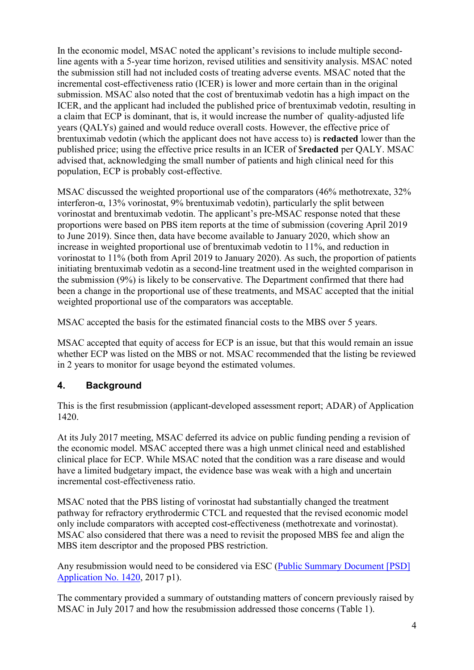In the economic model, MSAC noted the applicant's revisions to include multiple secondline agents with a 5-year time horizon, revised utilities and sensitivity analysis. MSAC noted the submission still had not included costs of treating adverse events. MSAC noted that the incremental cost-effectiveness ratio (ICER) is lower and more certain than in the original submission. MSAC also noted that the cost of brentuximab vedotin has a high impact on the ICER, and the applicant had included the published price of brentuximab vedotin, resulting in a claim that ECP is dominant, that is, it would increase the number of quality-adjusted life years (QALYs) gained and would reduce overall costs. However, the effective price of brentuximab vedotin (which the applicant does not have access to) is **redacted** lower than the published price; using the effective price results in an ICER of \$**redacted** per QALY. MSAC advised that, acknowledging the small number of patients and high clinical need for this population, ECP is probably cost-effective.

MSAC discussed the weighted proportional use of the comparators (46% methotrexate, 32% interferon-α, 13% vorinostat, 9% brentuximab vedotin), particularly the split between vorinostat and brentuximab vedotin. The applicant's pre-MSAC response noted that these proportions were based on PBS item reports at the time of submission (covering April 2019 to June 2019). Since then, data have become available to January 2020, which show an increase in weighted proportional use of brentuximab vedotin to 11%, and reduction in vorinostat to 11% (both from April 2019 to January 2020). As such, the proportion of patients initiating brentuximab vedotin as a second-line treatment used in the weighted comparison in the submission (9%) is likely to be conservative. The Department confirmed that there had been a change in the proportional use of these treatments, and MSAC accepted that the initial weighted proportional use of the comparators was acceptable.

MSAC accepted the basis for the estimated financial costs to the MBS over 5 years.

MSAC accepted that equity of access for ECP is an issue, but that this would remain an issue whether ECP was listed on the MBS or not. MSAC recommended that the listing be reviewed in 2 years to monitor for usage beyond the estimated volumes.

### **4. Background**

This is the first resubmission (applicant-developed assessment report; ADAR) of Application 1420.

At its July 2017 meeting, MSAC deferred its advice on public funding pending a revision of the economic model. MSAC accepted there was a high unmet clinical need and established clinical place for ECP. While MSAC noted that the condition was a rare disease and would have a limited budgetary impact, the evidence base was weak with a high and uncertain incremental cost-effectiveness ratio.

MSAC noted that the PBS listing of vorinostat had substantially changed the treatment pathway for refractory erythrodermic CTCL and requested that the revised economic model only include comparators with accepted cost-effectiveness (methotrexate and vorinostat). MSAC also considered that there was a need to revisit the proposed MBS fee and align the MBS item descriptor and the proposed PBS restriction.

Any resubmission would need to be considered via ESC [\(Public Summary Document \[PSD\]](http://www.msac.gov.au/internet/msac/publishing.nsf/Content/1420.1-public)  [Application No. 1420,](http://www.msac.gov.au/internet/msac/publishing.nsf/Content/1420.1-public) 2017 p1).

The commentary provided a summary of outstanding matters of concern previously raised by MSAC in July 2017 and how the resubmission addressed those concerns (Table 1).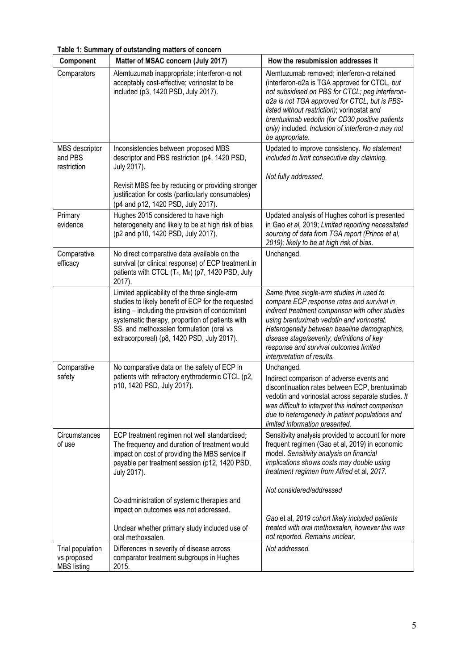**Table 1: Summary of outstanding matters of concern Component Matter of MSAC concern (July 2017) How the resubmission addresses it** Comparators Alemtuzumab inappropriate; interferon-α not acceptably cost-effective; vorinostat to be included (p3, 1420 PSD, July 2017). Alemtuzumab removed; interferon-α retained (interferon-α2a is TGA approved for CTCL, *but not subsidised on PBS for CTCL; peg interferonα2a is not TGA approved for CTCL, but is PBSlisted without restriction)*; vorinostat *and brentuximab vedotin (for CD30 positive patients only)* included. *Inclusion of interferon-α may not be appropriate.* MBS descriptor and PBS restriction Inconsistencies between proposed MBS descriptor and PBS restriction (p4, 1420 PSD, July 2017). Revisit MBS fee by reducing or providing stronger justification for costs (particularly consumables) (p4 and p12, 1420 PSD, July 2017). Updated to improve consistency. *No statement included to limit consecutive day claiming. Not fully addressed.* Primary evidence Hughes 2015 considered to have high heterogeneity and likely to be at high risk of bias (p2 and p10, 1420 PSD, July 2017). Updated analysis of Hughes cohort is presented in Gao *et al,* 2019; *Limited reporting necessitated sourcing of data from TGA report (Prince et al, 2019); likely to be at high risk of bias*. **Comparative** efficacy No direct comparative data available on the survival (or clinical response) of ECP treatment in patients with CTCL  $(T_4, M_0)$  (p7, 1420 PSD, July 2017). Unchanged. Limited applicability of the three single-arm studies to likely benefit of ECP for the requested listing – including the provision of concomitant systematic therapy, proportion of patients with SS, and methoxsalen formulation (oral vs extracorporeal) (p8, 1420 PSD, July 2017). *Same three single-arm studies in used to compare ECP response rates and survival in indirect treatment comparison with other studies using brentuximab vedotin and vorinostat. Heterogeneity between baseline demographics, disease stage/severity, definitions of key response and survival outcomes limited interpretation of results.* **Comparative** safety No comparative data on the safety of ECP in patients with refractory erythrodermic CTCL (p2, p10, 1420 PSD, July 2017). Unchanged. Indirect comparison of adverse events and discontinuation rates between ECP, brentuximab vedotin and vorinostat across separate studies. *It was difficult to interpret this indirect comparison due to heterogeneity in patient populations and limited information presented.* **Circumstances** of use ECP treatment regimen not well standardised; The frequency and duration of treatment would Sensitivity analysis provided to account for more frequent regimen (Gao et al, 2019) in economic

impact on cost of providing the MBS service if payable per treatment session (p12, 1420 PSD,

Co-administration of systemic therapies and impact on outcomes was not addressed.

Unclear whether primary study included use of

Differences in severity of disease across comparator treatment subgroups in Hughes

July 2017).

oral methoxsalen.

2015.

Trial population vs proposed MBS listing

model. *Sensitivity analysis on financial implications shows costs may double using treatment regimen from Alfred* et al, *2017.*

*Gao* et al, *2019 cohort likely included patients treated with oral methoxsalen, however this was*

*Not considered/addressed*

*not reported. Remains unclear.*

*Not addressed.*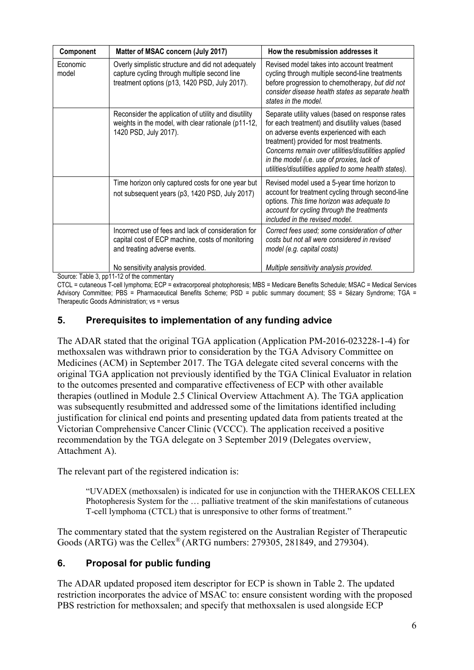| Component         | Matter of MSAC concern (July 2017)                                                                                                                  | How the resubmission addresses it                                                                                                                                                                                                                                                                                                                          |
|-------------------|-----------------------------------------------------------------------------------------------------------------------------------------------------|------------------------------------------------------------------------------------------------------------------------------------------------------------------------------------------------------------------------------------------------------------------------------------------------------------------------------------------------------------|
| Economic<br>model | Overly simplistic structure and did not adequately<br>capture cycling through multiple second line<br>treatment options (p13, 1420 PSD, July 2017). | Revised model takes into account treatment<br>cycling through multiple second-line treatments<br>before progression to chemotherapy, but did not<br>consider disease health states as separate health<br>states in the model.                                                                                                                              |
|                   | Reconsider the application of utility and disutility<br>weights in the model, with clear rationale (p11-12,<br>1420 PSD, July 2017).                | Separate utility values (based on response rates<br>for each treatment) and disutility values (based<br>on adverse events experienced with each<br>treatment) provided for most treatments.<br>Concerns remain over utilities/disutilities applied<br>in the model (i.e. use of proxies, lack of<br>utilities/disutilities applied to some health states). |
|                   | Time horizon only captured costs for one year but<br>not subsequent years (p3, 1420 PSD, July 2017)                                                 | Revised model used a 5-year time horizon to<br>account for treatment cycling through second-line<br>options. This time horizon was adequate to<br>account for cycling through the treatments<br>included in the revised model.                                                                                                                             |
|                   | Incorrect use of fees and lack of consideration for<br>capital cost of ECP machine, costs of monitoring<br>and treating adverse events.             | Correct fees used; some consideration of other<br>costs but not all were considered in revised<br>model (e.g. capital costs)                                                                                                                                                                                                                               |
|                   | No sensitivity analysis provided.                                                                                                                   | Multiple sensitivity analysis provided.                                                                                                                                                                                                                                                                                                                    |

Source: Table 3, pp11-12 of the commentary

CTCL = cutaneous T-cell lymphoma; ECP = extracorporeal photophoresis; MBS = Medicare Benefits Schedule; MSAC = Medical Services Advisory Committee; PBS = Pharmaceutical Benefits Scheme; PSD = public summary document; SS = Sézary Syndrome; TGA = Therapeutic Goods Administration; vs = versus

### **5. Prerequisites to implementation of any funding advice**

The ADAR stated that the original TGA application (Application PM-2016-023228-1-4) for methoxsalen was withdrawn prior to consideration by the TGA Advisory Committee on Medicines (ACM) in September 2017. The TGA delegate cited several concerns with the original TGA application not previously identified by the TGA Clinical Evaluator in relation to the outcomes presented and comparative effectiveness of ECP with other available therapies (outlined in Module 2.5 Clinical Overview Attachment A). The TGA application was subsequently resubmitted and addressed some of the limitations identified including justification for clinical end points and presenting updated data from patients treated at the Victorian Comprehensive Cancer Clinic (VCCC). The application received a positive recommendation by the TGA delegate on 3 September 2019 (Delegates overview, Attachment A).

The relevant part of the registered indication is:

"UVADEX (methoxsalen) is indicated for use in conjunction with the THERAKOS CELLEX Photopheresis System for the … palliative treatment of the skin manifestations of cutaneous T-cell lymphoma (CTCL) that is unresponsive to other forms of treatment."

The commentary stated that the system registered on the Australian Register of Therapeutic Goods (ARTG) was the Cellex® (ARTG numbers: 279305, 281849, and 279304).

#### **6. Proposal for public funding**

The ADAR updated proposed item descriptor for ECP is shown in Table 2. The updated restriction incorporates the advice of MSAC to: ensure consistent wording with the proposed PBS restriction for methoxsalen; and specify that methoxsalen is used alongside ECP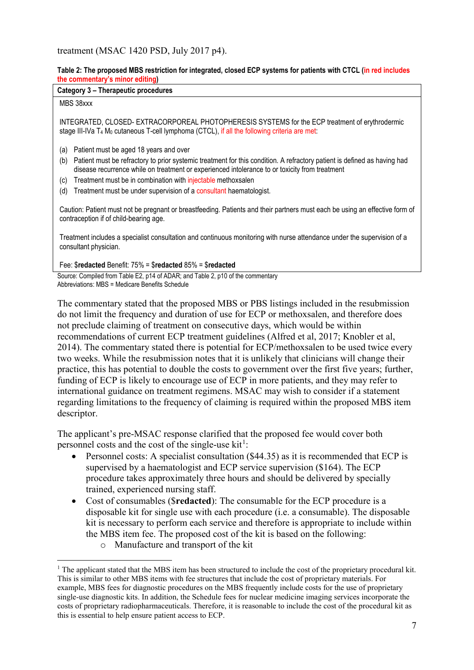treatment (MSAC 1420 PSD, July 2017 p4).

#### **Table 2: The proposed MBS restriction for integrated, closed ECP systems for patients with CTCL (in red includes the commentary's minor editing)**

#### **Category 3 – Therapeutic procedures**

#### MBS 38xxx

INTEGRATED, CLOSED- EXTRACORPOREAL PHOTOPHERESIS SYSTEMS for the ECP treatment of erythrodermic stage III-IVa T<sub>4</sub> M<sub>0</sub> cutaneous T-cell lymphoma (CTCL), if all the following criteria are met:

- (a) Patient must be aged 18 years and over
- (b) Patient must be refractory to prior systemic treatment for this condition. A refractory patient is defined as having had disease recurrence while on treatment or experienced intolerance to or toxicity from treatment
- (c) Treatment must be in combination with injectable methoxsalen
- (d) Treatment must be under supervision of a consultant haematologist.

Caution: Patient must not be pregnant or breastfeeding. Patients and their partners must each be using an effective form of contraception if of child-bearing age.

Treatment includes a specialist consultation and continuous monitoring with nurse attendance under the supervision of a consultant physician.

Fee: \$**redacted** Benefit: 75% = \$**redacted** 85% = \$**redacted**

Source: Compiled from Table E2, p14 of ADAR; and Table 2, p10 of the commentary Abbreviations: MBS = Medicare Benefits Schedule

The commentary stated that the proposed MBS or PBS listings included in the resubmission do not limit the frequency and duration of use for ECP or methoxsalen, and therefore does not preclude claiming of treatment on consecutive days, which would be within recommendations of current ECP treatment guidelines (Alfred et al, 2017; Knobler et al, 2014). The commentary stated there is potential for ECP/methoxsalen to be used twice every two weeks. While the resubmission notes that it is unlikely that clinicians will change their practice, this has potential to double the costs to government over the first five years; further, funding of ECP is likely to encourage use of ECP in more patients, and they may refer to international guidance on treatment regimens. MSAC may wish to consider if a statement regarding limitations to the frequency of claiming is required within the proposed MBS item descriptor.

The applicant's pre-MSAC response clarified that the proposed fee would cover both personnel costs and the cost of the single-use  $kit^1$  $kit^1$ :

- Personnel costs: A specialist consultation (\$44.35) as it is recommended that ECP is supervised by a haematologist and ECP service supervision (\$164). The ECP procedure takes approximately three hours and should be delivered by specially trained, experienced nursing staff.
- Cost of consumables (\$**redacted**): The consumable for the ECP procedure is a disposable kit for single use with each procedure (i.e. a consumable). The disposable kit is necessary to perform each service and therefore is appropriate to include within the MBS item fee. The proposed cost of the kit is based on the following:
	- o Manufacture and transport of the kit

<span id="page-6-0"></span> $1$  The applicant stated that the MBS item has been structured to include the cost of the proprietary procedural kit. This is similar to other MBS items with fee structures that include the cost of proprietary materials. For example, MBS fees for diagnostic procedures on the MBS frequently include costs for the use of proprietary single-use diagnostic kits. In addition, the Schedule fees for nuclear medicine imaging services incorporate the costs of proprietary radiopharmaceuticals. Therefore, it is reasonable to include the cost of the procedural kit as this is essential to help ensure patient access to ECP.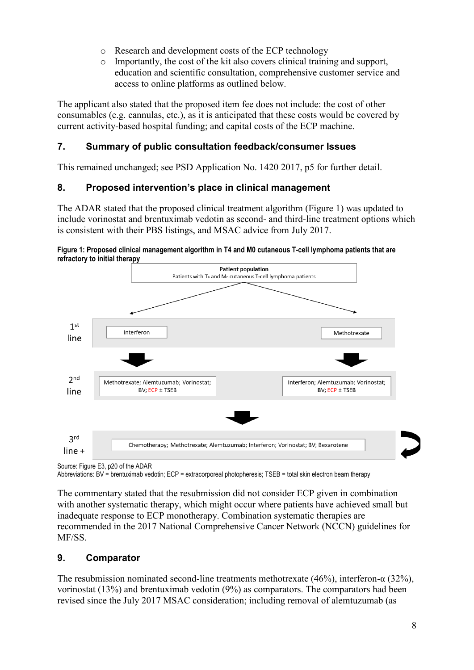- o Research and development costs of the ECP technology
- o Importantly, the cost of the kit also covers clinical training and support, education and scientific consultation, comprehensive customer service and access to online platforms as outlined below.

The applicant also stated that the proposed item fee does not include: the cost of other consumables (e.g. cannulas, etc.), as it is anticipated that these costs would be covered by current activity-based hospital funding; and capital costs of the ECP machine.

# **7. Summary of public consultation feedback/consumer Issues**

This remained unchanged; see PSD Application No. 1420 2017, p5 for further detail.

### **8. Proposed intervention's place in clinical management**

The ADAR stated that the proposed clinical treatment algorithm (Figure 1) was updated to include vorinostat and brentuximab vedotin as second- and third-line treatment options which is consistent with their PBS listings, and MSAC advice from July 2017.





Source: Figure E3, p20 of the ADAR

Abbreviations: BV = brentuximab vedotin; ECP = extracorporeal photopheresis; TSEB = total skin electron beam therapy

The commentary stated that the resubmission did not consider ECP given in combination with another systematic therapy, which might occur where patients have achieved small but inadequate response to ECP monotherapy. Combination systematic therapies are recommended in the 2017 National Comprehensive Cancer Network (NCCN) guidelines for MF/SS.

### **9. Comparator**

The resubmission nominated second-line treatments methotrexate (46%), interferon- $\alpha$  (32%), vorinostat (13%) and brentuximab vedotin (9%) as comparators. The comparators had been revised since the July 2017 MSAC consideration; including removal of alemtuzumab (as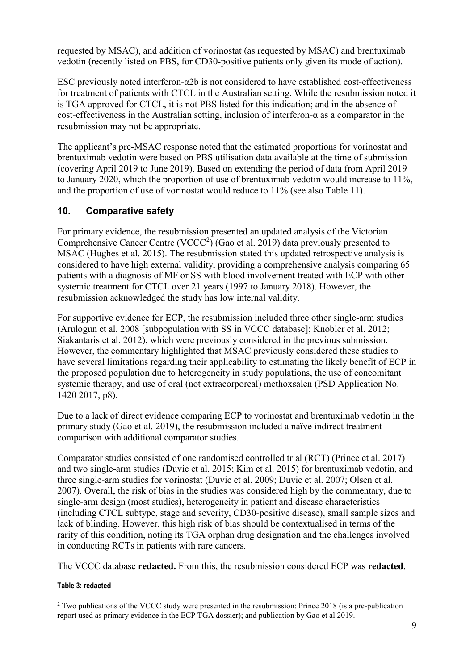requested by MSAC), and addition of vorinostat (as requested by MSAC) and brentuximab vedotin (recently listed on PBS, for CD30-positive patients only given its mode of action).

ESC previously noted interferon-α2b is not considered to have established cost-effectiveness for treatment of patients with CTCL in the Australian setting. While the resubmission noted it is TGA approved for CTCL, it is not PBS listed for this indication; and in the absence of cost-effectiveness in the Australian setting, inclusion of interferon-α as a comparator in the resubmission may not be appropriate.

The applicant's pre-MSAC response noted that the estimated proportions for vorinostat and brentuximab vedotin were based on PBS utilisation data available at the time of submission (covering April 2019 to June 2019). Based on extending the period of data from April 2019 to January 2020, which the proportion of use of brentuximab vedotin would increase to 11%, and the proportion of use of vorinostat would reduce to 11% (see also Table 11).

# **10. Comparative safety**

For primary evidence, the resubmission presented an updated analysis of the Victorian Comprehensive Cancer Centre  $(VCCC<sup>2</sup>)$  $(VCCC<sup>2</sup>)$  $(VCCC<sup>2</sup>)$  (Gao et al. 2019) data previously presented to MSAC (Hughes et al. 2015). The resubmission stated this updated retrospective analysis is considered to have high external validity, providing a comprehensive analysis comparing 65 patients with a diagnosis of MF or SS with blood involvement treated with ECP with other systemic treatment for CTCL over 21 years (1997 to January 2018). However, the resubmission acknowledged the study has low internal validity.

For supportive evidence for ECP, the resubmission included three other single-arm studies (Arulogun et al. 2008 [subpopulation with SS in VCCC database]; Knobler et al. 2012; Siakantaris et al. 2012), which were previously considered in the previous submission. However, the commentary highlighted that MSAC previously considered these studies to have several limitations regarding their applicability to estimating the likely benefit of ECP in the proposed population due to heterogeneity in study populations, the use of concomitant systemic therapy, and use of oral (not extracorporeal) methoxsalen (PSD Application No. 1420 2017, p8).

Due to a lack of direct evidence comparing ECP to vorinostat and brentuximab vedotin in the primary study (Gao et al. 2019), the resubmission included a naïve indirect treatment comparison with additional comparator studies.

Comparator studies consisted of one randomised controlled trial (RCT) (Prince et al. 2017) and two single-arm studies (Duvic et al. 2015; Kim et al. 2015) for brentuximab vedotin, and three single-arm studies for vorinostat (Duvic et al. 2009; Duvic et al. 2007; Olsen et al. 2007). Overall, the risk of bias in the studies was considered high by the commentary, due to single-arm design (most studies), heterogeneity in patient and disease characteristics (including CTCL subtype, stage and severity, CD30-positive disease), small sample sizes and lack of blinding. However, this high risk of bias should be contextualised in terms of the rarity of this condition, noting its TGA orphan drug designation and the challenges involved in conducting RCTs in patients with rare cancers.

The VCCC database **redacted.** From this, the resubmission considered ECP was **redacted**.

#### **Table 3: redacted**

<span id="page-8-0"></span><sup>&</sup>lt;sup>2</sup> Two publications of the VCCC study were presented in the resubmission: Prince 2018 (is a pre-publication report used as primary evidence in the ECP TGA dossier); and publication by Gao et al 2019.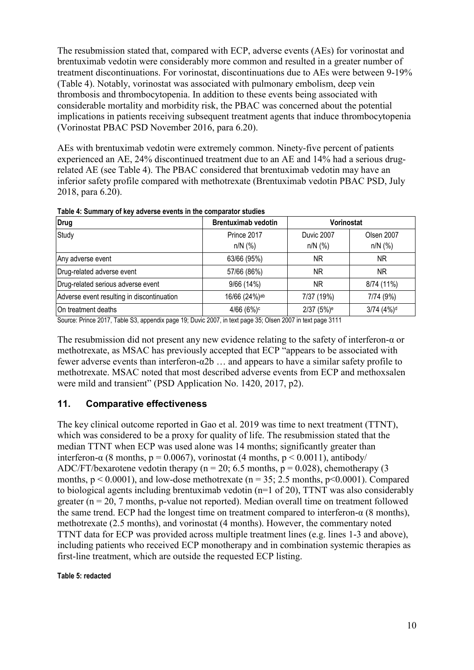The resubmission stated that, compared with ECP, adverse events (AEs) for vorinostat and brentuximab vedotin were considerably more common and resulted in a greater number of treatment discontinuations. For vorinostat, discontinuations due to AEs were between 9-19% (Table 4). Notably, vorinostat was associated with pulmonary embolism, deep vein thrombosis and thrombocytopenia. In addition to these events being associated with considerable mortality and morbidity risk, the PBAC was concerned about the potential implications in patients receiving subsequent treatment agents that induce thrombocytopenia (Vorinostat PBAC PSD November 2016, para 6.20).

AEs with brentuximab vedotin were extremely common. Ninety-five percent of patients experienced an AE, 24% discontinued treatment due to an AE and 14% had a serious drugrelated AE (see Table 4). The PBAC considered that brentuximab vedotin may have an inferior safety profile compared with methotrexate (Brentuximab vedotin PBAC PSD, July 2018, para 6.20).

| <b>Drug</b>                                | <b>Brentuximab vedotin</b><br>Vorinostat |                        |                            |  |  |
|--------------------------------------------|------------------------------------------|------------------------|----------------------------|--|--|
| Study                                      | Prince 2017                              | Duvic 2007             | Olsen 2007                 |  |  |
|                                            | $n/N$ (%)                                | $n/N$ (%)              | $n/N$ (%)                  |  |  |
| Any adverse event                          | 63/66 (95%)                              | ΝR                     | NR.                        |  |  |
| Drug-related adverse event                 | 57/66 (86%)                              | ΝR                     | NR.                        |  |  |
| Drug-related serious adverse event         | 9/66 (14%)                               | ΝR                     | 8/74 (11%)                 |  |  |
| Adverse event resulting in discontinuation | 16/66 (24%)ab                            | 7/37 (19%)             | 7/74 (9%)                  |  |  |
| On treatment deaths                        | 4/66(6%)c                                | 2/37 (5%) <sup>e</sup> | $3/74$ $(4%)$ <sup>d</sup> |  |  |
|                                            |                                          |                        |                            |  |  |

**Table 4: Summary of key adverse events in the comparator studies**

Source: Prince 2017, Table S3, appendix page 19; Duvic 2007, in text page 35; Olsen 2007 in text page 3111

The resubmission did not present any new evidence relating to the safety of interferon-α or methotrexate, as MSAC has previously accepted that ECP "appears to be associated with fewer adverse events than interferon-α2b … and appears to have a similar safety profile to methotrexate. MSAC noted that most described adverse events from ECP and methoxsalen were mild and transient" (PSD Application No. 1420, 2017, p2).

#### **11. Comparative effectiveness**

The key clinical outcome reported in Gao et al. 2019 was time to next treatment (TTNT), which was considered to be a proxy for quality of life. The resubmission stated that the median TTNT when ECP was used alone was 14 months; significantly greater than interferon- $\alpha$  (8 months, p = 0.0067), vorinostat (4 months, p < 0.0011), antibody/ ADC/FT/bexarotene vedotin therapy ( $n = 20$ ; 6.5 months,  $p = 0.028$ ), chemotherapy (3) months,  $p \le 0.0001$ ), and low-dose methotrexate ( $n = 35$ ; 2.5 months,  $p \le 0.0001$ ). Compared to biological agents including brentuximab vedotin (n=1 of 20), TTNT was also considerably greater ( $n = 20$ , 7 months, p-value not reported). Median overall time on treatment followed the same trend. ECP had the longest time on treatment compared to interferon- $\alpha$  (8 months), methotrexate (2.5 months), and vorinostat (4 months). However, the commentary noted TTNT data for ECP was provided across multiple treatment lines (e.g. lines 1-3 and above), including patients who received ECP monotherapy and in combination systemic therapies as first-line treatment, which are outside the requested ECP listing.

#### **Table 5: redacted**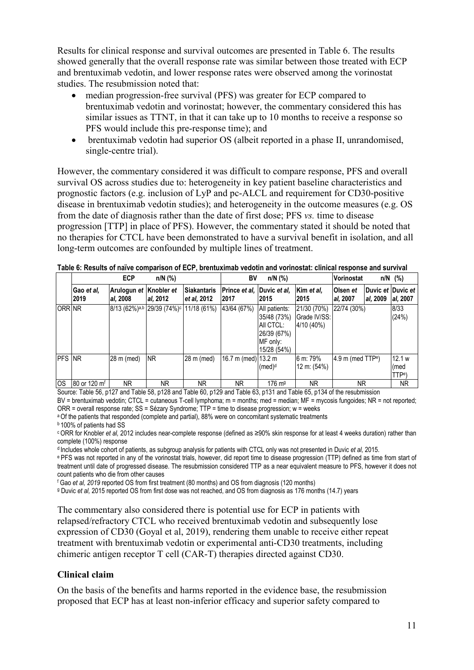Results for clinical response and survival outcomes are presented in Table 6. The results showed generally that the overall response rate was similar between those treated with ECP and brentuximab vedotin, and lower response rates were observed among the vorinostat studies. The resubmission noted that:

- median progression-free survival (PFS) was greater for ECP compared to brentuximab vedotin and vorinostat; however, the commentary considered this has similar issues as TTNT, in that it can take up to 10 months to receive a response so PFS would include this pre-response time); and
- brentuximab vedotin had superior OS (albeit reported in a phase II, unrandomised, single-centre trial).

However, the commentary considered it was difficult to compare response, PFS and overall survival OS across studies due to: heterogeneity in key patient baseline characteristics and prognostic factors (e.g. inclusion of LyP and pc-ALCL and requirement for CD30-positive disease in brentuximab vedotin studies); and heterogeneity in the outcome measures (e.g. OS from the date of diagnosis rather than the date of first dose; PFS *vs.* time to disease progression [TTP] in place of PFS). However, the commentary stated it should be noted that no therapies for CTCL have been demonstrated to have a survival benefit in isolation, and all long-term outcomes are confounded by multiple lines of treatment.

|               | <b>ECP</b><br>$n/N$ (%)  |                                             |                                                                | BV<br>$n/N$ (%)            |                                     |                                                                                     | <b>Vorinostat</b>                         |                                 | $n/N$ (%)                     |                                    |
|---------------|--------------------------|---------------------------------------------|----------------------------------------------------------------|----------------------------|-------------------------------------|-------------------------------------------------------------------------------------|-------------------------------------------|---------------------------------|-------------------------------|------------------------------------|
|               | Gao et al.<br>2019       | Arulogun et Knobler et<br>l <i>al.</i> 2008 | al. 2012                                                       | Siakantaris<br>et al. 2012 | Prince et al. Duvic et al.<br>12017 | 2015                                                                                | Kim et al.<br>2015                        | <b>Olsen</b> et<br>al. 2007     | Duvic et Duvic et<br>al, 2009 | al. 2007                           |
| <b>ORR NR</b> |                          |                                             | 8/13 (62%) <sup>a,b</sup> 29/39 (74%) <sup>c</sup> 11/18 (61%) |                            | 43/64 (67%)                         | All patients:<br>35/48 (73%)<br>All CTCL:<br>26/39 (67%)<br>MF only:<br>15/28 (54%) | 21/30 (70%)<br>Grade IV/SS:<br>4/10 (40%) | 22/74 (30%)                     |                               | 8/33<br>(24%)                      |
| <b>PFS NR</b> |                          | 28 m (med)                                  | <b>NR</b>                                                      | 28 m (med)                 | 16.7 m (med) 13.2 m                 | $(med)^d$                                                                           | 6 m: 79%<br>12 m: (54%)                   | $4.9$ m (med TTP <sup>e</sup> ) |                               | 12.1 w<br>(med<br>TTP <sup>e</sup> |
| <b>OS</b>     | 80 or 120 m <sup>f</sup> | NR.                                         | NR.                                                            | <b>NR</b>                  | <b>NR</b>                           | $176 \text{ m}$                                                                     | <b>NR</b>                                 | <b>NR</b>                       |                               | <b>NR</b>                          |

**Table 6: Results of naïve comparison of ECP, brentuximab vedotin and vorinostat: clinical response and survival**

Source: Table 56, p127 and Table 58, p128 and Table 60, p129 and Table 63, p131 and Table 65, p134 of the resubmission BV = brentuximab vedotin; CTCL = cutaneous T-cell lymphoma; m = months; med = median; MF = mycosis fungoides; NR = not reported;

ORR = overall response rate; SS = Sézary Syndrome; TTP = time to disease progression; w = weeks

<sup>a</sup> Of the patients that responded (complete and partial), 88% were on concomitant systematic treatments

**b** 100% of patients had SS

c ORR for Knobler *et al,* 2012 includes near-complete response (defined as ≥90% skin response for at least 4 weeks duration) rather than complete (100%) response

d Includes whole cohort of patients, as subgroup analysis for patients with CTCL only was not presented in Duvic *et al,* 2015.

e PFS was not reported in any of the vorinostat trials, however, did report time to disease progression (TTP) defined as time from start of treatment until date of progressed disease. The resubmission considered TTP as a near equivalent measure to PFS, however it does not count patients who die from other causes

<sup>f</sup> Gao *et al, 2019* reported OS from first treatment (80 months) and OS from diagnosis (120 months)

<sup>g</sup> Duvic *et al, 2015 reported OS from first dose was not reached, and OS from diagnosis as 176 months (14.7) years* 

The commentary also considered there is potential use for ECP in patients with relapsed/refractory CTCL who received brentuximab vedotin and subsequently lose expression of CD30 (Goyal et al, 2019), rendering them unable to receive either repeat treatment with brentuximab vedotin or experimental anti-CD30 treatments, including chimeric antigen receptor T cell (CAR-T) therapies directed against CD30.

#### **Clinical claim**

On the basis of the benefits and harms reported in the evidence base, the resubmission proposed that ECP has at least non-inferior efficacy and superior safety compared to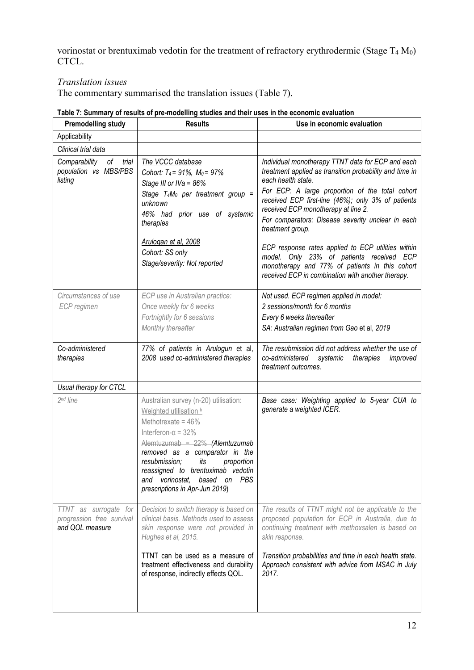vorinostat or brentuximab vedotin for the treatment of refractory erythrodermic (Stage T<sub>4</sub> M<sub>0</sub>) CTCL.

#### *Translation issues*

The commentary summarised the translation issues (Table 7).

| <b>Premodelling study</b>                                             | <b>Results</b>                                                                                                                                                                                                                                                                                                                              | Use in economic evaluation                                                                                                                                                                                                                                                                                                                                                                                                                                                                                                                                           |
|-----------------------------------------------------------------------|---------------------------------------------------------------------------------------------------------------------------------------------------------------------------------------------------------------------------------------------------------------------------------------------------------------------------------------------|----------------------------------------------------------------------------------------------------------------------------------------------------------------------------------------------------------------------------------------------------------------------------------------------------------------------------------------------------------------------------------------------------------------------------------------------------------------------------------------------------------------------------------------------------------------------|
| Applicability                                                         |                                                                                                                                                                                                                                                                                                                                             |                                                                                                                                                                                                                                                                                                                                                                                                                                                                                                                                                                      |
| Clinical trial data                                                   |                                                                                                                                                                                                                                                                                                                                             |                                                                                                                                                                                                                                                                                                                                                                                                                                                                                                                                                                      |
| Comparability of trial<br>population vs MBS/PBS<br>listing            | The VCCC database<br>Cohort: $T_4 = 91\%$ , $M_0 = 97\%$<br>Stage III or IVa = 86%<br>Stage $T_4M_0$ per treatment group =<br>unknown<br>46% had prior use of systemic<br>therapies<br>Arulogan et al, 2008<br>Cohort: SS only<br>Stage/severity: Not reported                                                                              | Individual monotherapy TTNT data for ECP and each<br>treatment applied as transition probability and time in<br>each health state.<br>For ECP: A large proportion of the total cohort<br>received ECP first-line (46%); only 3% of patients<br>received ECP monotherapy at line 2.<br>For comparators: Disease severity unclear in each<br>treatment group.<br>ECP response rates applied to ECP utilities within<br>model. Only 23% of patients received ECP<br>monotherapy and 77% of patients in this cohort<br>received ECP in combination with another therapy. |
| Circumstances of use                                                  | ECP use in Australian practice:                                                                                                                                                                                                                                                                                                             | Not used. ECP regimen applied in model:                                                                                                                                                                                                                                                                                                                                                                                                                                                                                                                              |
| ECP regimen                                                           | Once weekly for 6 weeks                                                                                                                                                                                                                                                                                                                     | 2 sessions/month for 6 months                                                                                                                                                                                                                                                                                                                                                                                                                                                                                                                                        |
|                                                                       | Fortnightly for 6 sessions<br>Monthly thereafter                                                                                                                                                                                                                                                                                            | Every 6 weeks thereafter<br>SA: Australian regimen from Gao et al, 2019                                                                                                                                                                                                                                                                                                                                                                                                                                                                                              |
|                                                                       |                                                                                                                                                                                                                                                                                                                                             |                                                                                                                                                                                                                                                                                                                                                                                                                                                                                                                                                                      |
| Co-administered<br>therapies                                          | 77% of patients in Arulogun et al,<br>2008 used co-administered therapies                                                                                                                                                                                                                                                                   | The resubmission did not address whether the use of<br>co-administered<br>systemic<br>therapies<br>improved<br>treatment outcomes.                                                                                                                                                                                                                                                                                                                                                                                                                                   |
| Usual therapy for CTCL                                                |                                                                                                                                                                                                                                                                                                                                             |                                                                                                                                                                                                                                                                                                                                                                                                                                                                                                                                                                      |
| 2 <sup>nd</sup> line                                                  | Australian survey (n-20) utilisation:<br>Weighted utilisation b<br>Methotrexate = $46\%$<br>Interferon- $\alpha = 32\%$<br>Alemtuzumab = $22\%$ (Alemtuzumab<br>removed as a comparator in the<br>resubmission;<br>its<br>proportion<br>reassigned to brentuximab vedotin<br>and vorinostat, based on PBS<br>prescriptions in Apr-Jun 2019) | Base case: Weighting applied to 5-year CUA to<br>generate a weighted ICER.                                                                                                                                                                                                                                                                                                                                                                                                                                                                                           |
| TTNT as surrogate for<br>progression free survival<br>and QOL measure | Decision to switch therapy is based on<br>clinical basis. Methods used to assess<br>skin response were not provided in<br>Hughes et al, 2015.<br>TTNT can be used as a measure of                                                                                                                                                           | The results of TTNT might not be applicable to the<br>proposed population for ECP in Australia, due to<br>continuing treatment with methoxsalen is based on<br>skin response.<br>Transition probabilities and time in each health state.                                                                                                                                                                                                                                                                                                                             |
|                                                                       | treatment effectiveness and durability<br>of response, indirectly effects QOL.                                                                                                                                                                                                                                                              | Approach consistent with advice from MSAC in July<br>2017.                                                                                                                                                                                                                                                                                                                                                                                                                                                                                                           |

#### **Table 7: Summary of results of pre-modelling studies and their uses in the economic evaluation**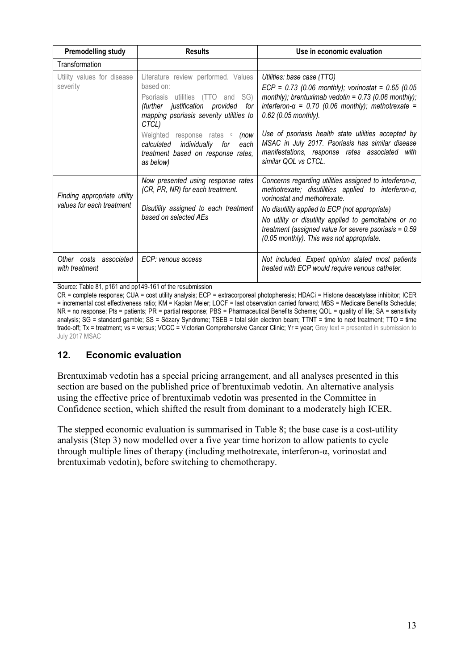| <b>Premodelling study</b>                                | <b>Results</b>                                                                                                                                                                  | Use in economic evaluation                                                                                                                                                                                                                                                                                                                                                |
|----------------------------------------------------------|---------------------------------------------------------------------------------------------------------------------------------------------------------------------------------|---------------------------------------------------------------------------------------------------------------------------------------------------------------------------------------------------------------------------------------------------------------------------------------------------------------------------------------------------------------------------|
| Transformation                                           |                                                                                                                                                                                 |                                                                                                                                                                                                                                                                                                                                                                           |
| Utility values for disease<br>severity                   | Literature review performed. Values<br>based on:<br>Psoriasis utilities (TTO and SG)<br>(further justification provided for<br>mapping psoriasis severity utilities to<br>CTCL) | Utilities: base case (TTO)<br>$ECP = 0.73$ (0.06 monthly); vorinostat = 0.65 (0.05<br>monthly); brentuximab vedotin = $0.73$ (0.06 monthly);<br>interferon- $\alpha$ = 0.70 (0.06 monthly); methotrexate =<br>$0.62$ (0.05 monthly).                                                                                                                                      |
|                                                          | Weighted response rates c<br>(now<br>calculated individually for<br>each<br>treatment based on response rates,<br>as below)                                                     | Use of psoriasis health state utilities accepted by<br>MSAC in July 2017. Psoriasis has similar disease<br>manifestations, response rates associated with<br>similar QOL vs CTCL.                                                                                                                                                                                         |
| Finding appropriate utility<br>values for each treatment | Now presented using response rates<br>(CR, PR, NR) for each treatment.<br>Disutility assigned to each treatment<br>based on selected AEs                                        | Concerns regarding utilities assigned to interferon-α,<br>methotrexate; disutilities applied to interferon- $\alpha$ ,<br>vorinostat and methotrexate.<br>No disutility applied to ECP (not appropriate)<br>No utility or disutility applied to gemcitabine or no<br>treatment (assigned value for severe psoriasis = $0.59$<br>(0.05 monthly). This was not appropriate. |
| Other costs associated<br>with treatment                 | ECP: venous access                                                                                                                                                              | Not included. Expert opinion stated most patients<br>treated with ECP would require venous catheter.                                                                                                                                                                                                                                                                      |

Source: Table 81, p161 and pp149-161 of the resubmission

CR = complete response; CUA = cost utility analysis; ECP = extracorporeal photopheresis; HDACi = Histone deacetylase inhibitor; ICER = incremental cost effectiveness ratio; KM = Kaplan Meier; LOCF = last observation carried forward; MBS = Medicare Benefits Schedule; NR = no response; Pts = patients; PR = partial response; PBS = Pharmaceutical Benefits Scheme; QOL = quality of life; SA = sensitivity analysis; SG = standard gamble; SS = Sézary Syndrome; TSEB = total skin electron beam; TTNT = time to next treatment; TTO = time trade-off; Tx = treatment; vs = versus; VCCC = Victorian Comprehensive Cancer Clinic; Yr = year; Grey text = presented in submission to July 2017 MSAC

### **12. Economic evaluation**

Brentuximab vedotin has a special pricing arrangement, and all analyses presented in this section are based on the published price of brentuximab vedotin. An alternative analysis using the effective price of brentuximab vedotin was presented in the Committee in Confidence section, which shifted the result from dominant to a moderately high ICER.

The stepped economic evaluation is summarised in Table 8; the base case is a cost-utility analysis (Step 3) now modelled over a five year time horizon to allow patients to cycle through multiple lines of therapy (including methotrexate, interferon-α, vorinostat and brentuximab vedotin), before switching to chemotherapy.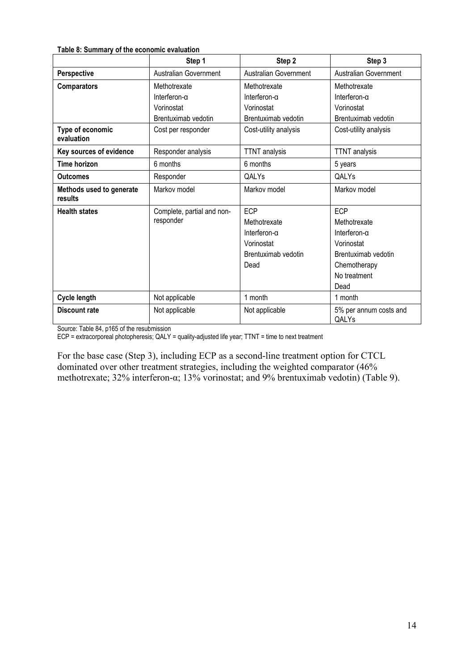|                                     | Step 1                     | Step 2                | Step 3                                 |  |
|-------------------------------------|----------------------------|-----------------------|----------------------------------------|--|
| Perspective                         | Australian Government      |                       | Australian Government                  |  |
| <b>Comparators</b>                  | Methotrexate               | Methotrexate          | Methotrexate                           |  |
|                                     | Interferon-a               | Interferon-a          | Interferon-a                           |  |
|                                     | Vorinostat                 | Vorinostat            | Vorinostat                             |  |
|                                     | Brentuximab vedotin        | Brentuximab vedotin   | Brentuximab vedotin                    |  |
| Type of economic                    | Cost per responder         | Cost-utility analysis | Cost-utility analysis                  |  |
| evaluation                          |                            |                       |                                        |  |
| Key sources of evidence             | Responder analysis         | <b>TTNT</b> analysis  | <b>TTNT</b> analysis                   |  |
| <b>Time horizon</b>                 | 6 months                   | 6 months              | 5 years                                |  |
| <b>Outcomes</b>                     | Responder                  | QALYs                 | <b>QALYs</b>                           |  |
| Methods used to generate<br>results | Markov model               | Markov model          | Markov model                           |  |
| <b>Health states</b>                | Complete, partial and non- | <b>ECP</b>            | <b>ECP</b>                             |  |
|                                     | responder                  | Methotrexate          | Methotrexate                           |  |
|                                     |                            | Interferon-a          | Interferon-a                           |  |
|                                     |                            | Vorinostat            | Vorinostat                             |  |
|                                     |                            | Brentuximab vedotin   | Brentuximab vedotin                    |  |
|                                     |                            | Dead                  | Chemotherapy                           |  |
|                                     |                            |                       | No treatment                           |  |
|                                     |                            |                       | Dead                                   |  |
| Cycle length                        | Not applicable             | 1 month               | 1 month                                |  |
| Discount rate                       | Not applicable             | Not applicable        | 5% per annum costs and<br><b>QALYs</b> |  |

Source: Table 84, p165 of the resubmission

ECP = extracorporeal photopheresis; QALY = quality-adjusted life year; TTNT = time to next treatment

For the base case (Step 3), including ECP as a second-line treatment option for CTCL dominated over other treatment strategies, including the weighted comparator (46% methotrexate; 32% interferon-α; 13% vorinostat; and 9% brentuximab vedotin) (Table 9).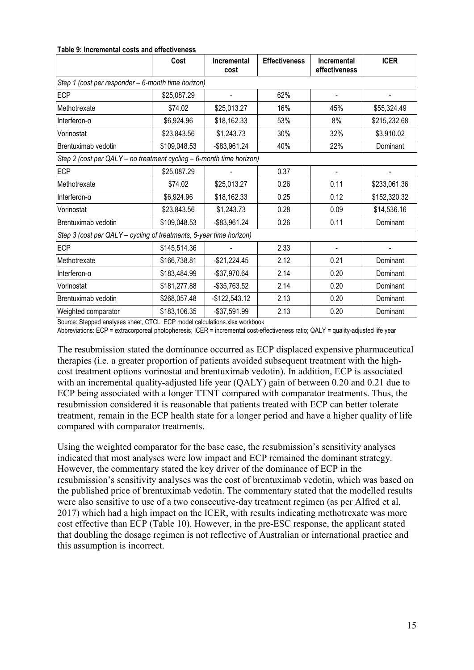|                                                                      | Cost         | Incremental<br>cost | <b>Effectiveness</b> | Incremental<br>effectiveness | <b>ICER</b>  |
|----------------------------------------------------------------------|--------------|---------------------|----------------------|------------------------------|--------------|
| Step 1 (cost per responder - 6-month time horizon)                   |              |                     |                      |                              |              |
|                                                                      |              |                     |                      |                              |              |
| <b>ECP</b>                                                           | \$25,087.29  |                     | 62%                  |                              |              |
| Methotrexate                                                         | \$74.02      | \$25,013.27         | 16%                  | 45%                          | \$55,324.49  |
| Interferon-a                                                         | \$6,924.96   | \$18,162.33         | 53%                  | 8%                           | \$215,232.68 |
| Vorinostat                                                           | \$23,843.56  | \$1,243.73          | 30%                  | 32%                          | \$3,910.02   |
| Brentuximab vedotin                                                  | \$109,048.53 | -\$83,961.24        | 40%                  | 22%                          | Dominant     |
| Step 2 (cost per QALY - no treatment cycling - 6-month time horizon) |              |                     |                      |                              |              |
| <b>ECP</b>                                                           | \$25,087.29  |                     | 0.37                 |                              |              |
| Methotrexate                                                         | \$74.02      | \$25,013.27         | 0.26                 | 0.11                         | \$233,061.36 |
| Interferon-a                                                         | \$6,924.96   | \$18,162.33         | 0.25                 | 0.12                         | \$152,320.32 |
| Vorinostat                                                           | \$23,843.56  | \$1,243.73          | 0.28                 | 0.09                         | \$14,536.16  |
| Brentuximab vedotin                                                  | \$109,048.53 | -\$83,961.24        | 0.26                 | 0.11                         | Dominant     |
| Step 3 (cost per QALY - cycling of treatments, 5-year time horizon)  |              |                     |                      |                              |              |
| <b>ECP</b>                                                           | \$145,514.36 |                     | 2.33                 |                              |              |
| Methotrexate                                                         | \$166,738.81 | $-$21,224.45$       | 2.12                 | 0.21                         | Dominant     |
| Interferon-a                                                         | \$183,484.99 | $-$ \$37,970.64     | 2.14                 | 0.20                         | Dominant     |
| Vorinostat                                                           | \$181,277.88 | $-$ \$35,763.52     | 2.14                 | 0.20                         | Dominant     |
| Brentuximab vedotin                                                  | \$268,057.48 | $-$122,543.12$      | 2.13                 | 0.20                         | Dominant     |
| Weighted comparator                                                  | \$183,106.35 | -\$37,591.99        | 2.13                 | 0.20                         | Dominant     |

#### **Table 9: Incremental costs and effectiveness**

Source: Stepped analyses sheet, CTCL\_ECP model calculations.xlsx workbook

Abbreviations: ECP = extracorporeal photopheresis; ICER = incremental cost-effectiveness ratio; QALY = quality-adjusted life year

The resubmission stated the dominance occurred as ECP displaced expensive pharmaceutical therapies (i.e. a greater proportion of patients avoided subsequent treatment with the highcost treatment options vorinostat and brentuximab vedotin). In addition, ECP is associated with an incremental quality-adjusted life year (QALY) gain of between 0.20 and 0.21 due to ECP being associated with a longer TTNT compared with comparator treatments. Thus, the resubmission considered it is reasonable that patients treated with ECP can better tolerate treatment, remain in the ECP health state for a longer period and have a higher quality of life compared with comparator treatments.

Using the weighted comparator for the base case, the resubmission's sensitivity analyses indicated that most analyses were low impact and ECP remained the dominant strategy. However, the commentary stated the key driver of the dominance of ECP in the resubmission's sensitivity analyses was the cost of brentuximab vedotin, which was based on the published price of brentuximab vedotin. The commentary stated that the modelled results were also sensitive to use of a two consecutive-day treatment regimen (as per Alfred et al, 2017) which had a high impact on the ICER, with results indicating methotrexate was more cost effective than ECP (Table 10). However, in the pre-ESC response, the applicant stated that doubling the dosage regimen is not reflective of Australian or international practice and this assumption is incorrect.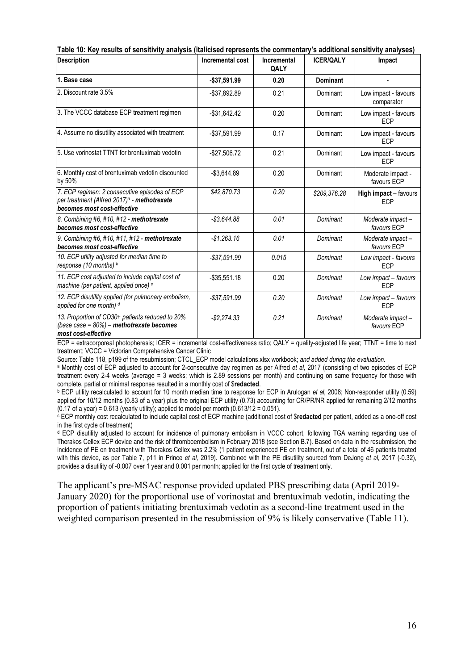|                                                                                                                                         | Table 10: Key results of sensitivity analysis (italicised represents the commentary's additional sensitivity analyses) |                            |                  |                                     |  |  |  |
|-----------------------------------------------------------------------------------------------------------------------------------------|------------------------------------------------------------------------------------------------------------------------|----------------------------|------------------|-------------------------------------|--|--|--|
| <b>Description</b>                                                                                                                      | Incremental cost                                                                                                       | <b>Incremental</b><br>QALY | <b>ICER/QALY</b> | Impact                              |  |  |  |
| 11. Base case                                                                                                                           | $-$37,591.99$                                                                                                          | 0.20                       | Dominant         |                                     |  |  |  |
| 2. Discount rate 3.5%                                                                                                                   | -\$37,892.89                                                                                                           | 0.21                       | Dominant         | Low impact - favours<br>comparator  |  |  |  |
| 3. The VCCC database ECP treatment regimen                                                                                              | $-$ \$31,642.42                                                                                                        | 0.20                       | Dominant         | Low impact - favours<br><b>FCP</b>  |  |  |  |
| 4. Assume no disutility associated with treatment                                                                                       | $-$37,591.99$                                                                                                          | 0.17                       | Dominant         | Low impact - favours<br><b>FCP</b>  |  |  |  |
| 5. Use vorinostat TTNT for brentuximab vedotin                                                                                          | $-$27,506.72$                                                                                                          | 0.21                       | Dominant         | Low impact - favours<br><b>ECP</b>  |  |  |  |
| 6. Monthly cost of brentuximab vedotin discounted<br>by 50%                                                                             | $-$3,644.89$                                                                                                           | 0.20                       | Dominant         | Moderate impact -<br>favours ECP    |  |  |  |
| 7. ECP regimen: 2 consecutive episodes of ECP<br>per treatment (Alfred 2017) <sup>a</sup> - methotrexate<br>becomes most cost-effective | \$42,870.73                                                                                                            | 0.20                       | \$209,376.28     | High impact - favours<br><b>ECP</b> |  |  |  |
| 8. Combining #6, #10, #12 - methotrexate<br>becomes most cost-effective                                                                 | $- $3,644.88$                                                                                                          | 0.01                       | Dominant         | Moderate impact-<br>favours ECP     |  |  |  |
| 9. Combining #6, #10, #11, #12 - methotrexate<br>becomes most cost-effective                                                            | $-$1.263.16$                                                                                                           | 0.01                       | Dominant         | Moderate impact-<br>favours ECP     |  |  |  |
| 10. ECP utility adjusted for median time to<br>response (10 months) b                                                                   | $-$ \$37,591.99                                                                                                        | 0.015                      | Dominant         | Low impact - favours<br><b>ECP</b>  |  |  |  |
| 11. ECP cost adjusted to include capital cost of<br>machine (per patient, applied once) c                                               | $-$35,551.18$                                                                                                          | 0.20                       | Dominant         | Low impact - favours<br>ECP         |  |  |  |
| 12. ECP disutility applied (for pulmonary embolism,<br>applied for one month) d                                                         | $-$ \$37,591.99                                                                                                        | 0.20                       | Dominant         | Low impact - favours<br><b>ECP</b>  |  |  |  |
| 13. Proportion of CD30+ patients reduced to 20%<br>(base case = $80\%$ ) - methotrexate becomes<br>most cost-effective                  | $-$2,274.33$                                                                                                           | 0.21                       | Dominant         | Moderate impact-<br>favours ECP     |  |  |  |

ECP = extracorporeal photopheresis; ICER = incremental cost-effectiveness ratio; QALY = quality-adjusted life year; TTNT = time to next treatment; VCCC = Victorian Comprehensive Cancer Clinic

Source: Table 118, p199 of the resubmission; CTCL\_ECP model calculations.xlsx workbook; *and added during the evaluation.*

<sup>a</sup> Monthly cost of ECP adjusted to account for 2-consecutive day regimen as per Alfred *et al,* 2017 (consisting of two episodes of ECP treatment every 2-4 weeks (average = 3 weeks; which is 2.89 sessions per month) and continuing on same frequency for those with complete, partial or minimal response resulted in a monthly cost of \$**redacted**.

<sup>b</sup> ECP utility recalculated to account for 10 month median time to response for ECP in Arulogan *et al,* 2008; Non-responder utility (0.59) applied for 10/12 months (0.83 of a year) plus the original ECP utility (0.73) accounting for CR/PR/NR applied for remaining 2/12 months (0.17 of a year) = 0.613 (yearly utility); applied to model per month (0.613/12 = 0.051).

<sup>c</sup> ECP monthly cost recalculated to include capital cost of ECP machine (additional cost of \$**redacted** per patient, added as a one-off cost in the first cycle of treatment)

<sup>d</sup> ECP disutility adjusted to account for incidence of pulmonary embolism in VCCC cohort, following TGA warning regarding use of Therakos Cellex ECP device and the risk of thromboembolism in February 2018 (see Section B.7). Based on data in the resubmission, the incidence of PE on treatment with Therakos Cellex was 2.2% (1 patient experienced PE on treatment, out of a total of 46 patients treated with this device, as per Table 7, p11 in Prince *et al,* 2019). Combined with the PE disutility sourced from DeJong *et al,* 2017 (-0.32), provides a disutility of -0.007 over 1 year and 0.001 per month; applied for the first cycle of treatment only.

The applicant's pre-MSAC response provided updated PBS prescribing data (April 2019- January 2020) for the proportional use of vorinostat and brentuximab vedotin, indicating the proportion of patients initiating brentuximab vedotin as a second-line treatment used in the weighted comparison presented in the resubmission of 9% is likely conservative (Table 11).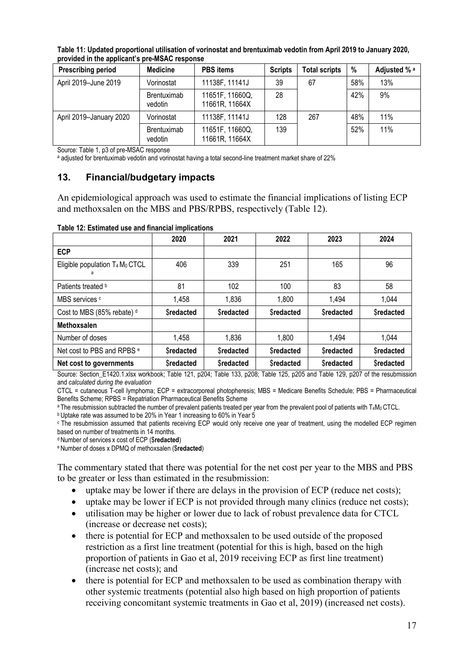| <b>Prescribing period</b> | <b>Medicine</b>        | <b>PBS</b> items                  | <b>Scripts</b> | <b>Total scripts</b> | %   | Adjusted % a |
|---------------------------|------------------------|-----------------------------------|----------------|----------------------|-----|--------------|
| April 2019-June 2019      | Vorinostat             | 11138F, 11141J                    | 39             | 67                   | 58% | 13%          |
|                           | Brentuximab<br>vedotin | 11651F, 11660Q,<br>11661R, 11664X | 28             |                      | 42% | 9%           |
| April 2019-January 2020   | Vorinostat             | 11138F, 11141J                    | 128            | 267                  | 48% | 11%          |
|                           | Brentuximab<br>vedotin | 11651F, 11660Q,<br>11661R, 11664X | 139            |                      | 52% | 11%          |

**Table 11: Updated proportional utilisation of vorinostat and brentuximab vedotin from April 2019 to January 2020, provided in the applicant's pre-MSAC response**

Source: Table 1, p3 of pre-MSAC response

<sup>a</sup> adjusted for brentuximab vedotin and vorinostat having a total second-line treatment market share of 22%

#### **13. Financial/budgetary impacts**

An epidemiological approach was used to estimate the financial implications of listing ECP and methoxsalen on the MBS and PBS/RPBS, respectively (Table 12).

| Table 12: Estimated use and financial implications |  |  |
|----------------------------------------------------|--|--|
|----------------------------------------------------|--|--|

|                                                             | 2020                           | 2021                           | 2022                           | 2023                           | 2024                           |
|-------------------------------------------------------------|--------------------------------|--------------------------------|--------------------------------|--------------------------------|--------------------------------|
| <b>ECP</b>                                                  |                                |                                |                                |                                |                                |
| Eligible population T <sub>4</sub> M <sub>0</sub> CTCL<br>a | 406                            | 339                            | 251                            | 165                            | 96                             |
| Patients treated b                                          | 81                             | 102                            | 100                            | 83                             | 58                             |
| MBS services c                                              | 1,458                          | 1,836                          | 1,800                          | 1,494                          | 1,044                          |
| Cost to MBS (85% rebate) d                                  | <b><i><u>Sredacted</u></i></b> | <b><i><u>Sredacted</u></i></b> | <b><i><u>Sredacted</u></i></b> | <b><i><u>Sredacted</u></i></b> | \$redacted                     |
| <b>Methoxsalen</b>                                          |                                |                                |                                |                                |                                |
| Number of doses                                             | 1,458                          | 1,836                          | 1,800                          | 1,494                          | 1,044                          |
| Net cost to PBS and RPBS <sup>e</sup>                       | <b><i><u>Sredacted</u></i></b> | <b><i><u>Sredacted</u></i></b> | <b><i><u>Sredacted</u></i></b> | <b><i><u>Sredacted</u></i></b> | <b><i><u>Sredacted</u></i></b> |
| Net cost to governments                                     | <b><i><u>Sredacted</u></i></b> | <b><i><u>Sredacted</u></i></b> | <b><i><u>Sredacted</u></i></b> | <b><i><u>Sredacted</u></i></b> | <b><i><u>Sredacted</u></i></b> |

Source: Section E1420.1.xlsx workbook; Table 121, p204; Table 133, p208; Table 125, p205 and Table 129, p207 of the resubmission and *calculated during the evaluation*

CTCL = cutaneous T-cell lymphoma; ECP = extracorporeal photopheresis; MBS = Medicare Benefits Schedule; PBS = Pharmaceutical Benefits Scheme; RPBS = Repatriation Pharmaceutical Benefits Scheme

a The resubmission subtracted the number of prevalent patients treated per year from the prevalent pool of patients with T4M0 CTCL.

b Uptake rate was assumed to be 20% in Year 1 increasing to 60% in Year 5

c The resubmission assumed that patients receiving ECP would only receive one year of treatment, using the modelled ECP regimen based on number of treatments in 14 months.

<sup>d</sup> Number of services x cost of ECP (\$**redacted**)

<sup>e</sup> Number of doses x DPMQ of methoxsalen (\$**redacted**)

The commentary stated that there was potential for the net cost per year to the MBS and PBS to be greater or less than estimated in the resubmission:

- uptake may be lower if there are delays in the provision of ECP (reduce net costs);
- uptake may be lower if ECP is not provided through many clinics (reduce net costs);
- utilisation may be higher or lower due to lack of robust prevalence data for CTCL (increase or decrease net costs);
- there is potential for ECP and methoxsalen to be used outside of the proposed restriction as a first line treatment (potential for this is high, based on the high proportion of patients in Gao et al, 2019 receiving ECP as first line treatment) (increase net costs); and
- there is potential for ECP and methoxsalen to be used as combination therapy with other systemic treatments (potential also high based on high proportion of patients receiving concomitant systemic treatments in Gao et al, 2019) (increased net costs).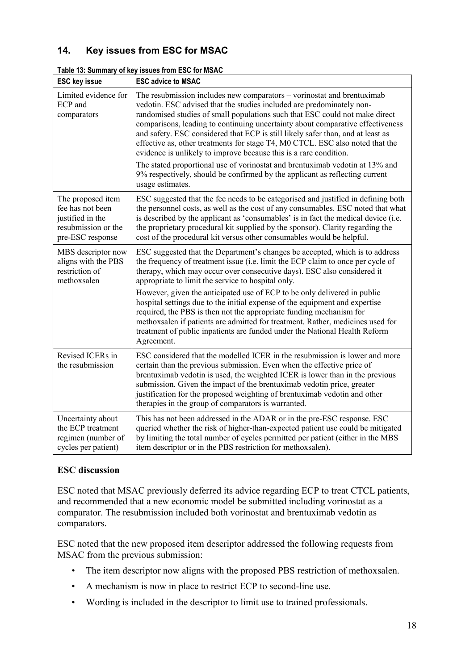# **14. Key issues from ESC for MSAC**

| <b>ESC key issue</b>                                                                                 | <b>ESC advice to MSAC</b>                                                                                                                                                                                                                                                                                                                                                                                                                                                                                                                                 |
|------------------------------------------------------------------------------------------------------|-----------------------------------------------------------------------------------------------------------------------------------------------------------------------------------------------------------------------------------------------------------------------------------------------------------------------------------------------------------------------------------------------------------------------------------------------------------------------------------------------------------------------------------------------------------|
| Limited evidence for<br>ECP and<br>comparators                                                       | The resubmission includes new comparators – vorinostat and brentuximab<br>vedotin. ESC advised that the studies included are predominately non-<br>randomised studies of small populations such that ESC could not make direct<br>comparisons, leading to continuing uncertainty about comparative effectiveness<br>and safety. ESC considered that ECP is still likely safer than, and at least as<br>effective as, other treatments for stage T4, M0 CTCL. ESC also noted that the<br>evidence is unlikely to improve because this is a rare condition. |
|                                                                                                      | The stated proportional use of vorinostat and brentuximab vedotin at 13% and<br>9% respectively, should be confirmed by the applicant as reflecting current<br>usage estimates.                                                                                                                                                                                                                                                                                                                                                                           |
| The proposed item<br>fee has not been<br>justified in the<br>resubmission or the<br>pre-ESC response | ESC suggested that the fee needs to be categorised and justified in defining both<br>the personnel costs, as well as the cost of any consumables. ESC noted that what<br>is described by the applicant as 'consumables' is in fact the medical device (i.e.<br>the proprietary procedural kit supplied by the sponsor). Clarity regarding the<br>cost of the procedural kit versus other consumables would be helpful.                                                                                                                                    |
| MBS descriptor now<br>aligns with the PBS<br>restriction of<br>methoxsalen                           | ESC suggested that the Department's changes be accepted, which is to address<br>the frequency of treatment issue (i.e. limit the ECP claim to once per cycle of<br>therapy, which may occur over consecutive days). ESC also considered it<br>appropriate to limit the service to hospital only.                                                                                                                                                                                                                                                          |
|                                                                                                      | However, given the anticipated use of ECP to be only delivered in public<br>hospital settings due to the initial expense of the equipment and expertise<br>required, the PBS is then not the appropriate funding mechanism for<br>methoxsalen if patients are admitted for treatment. Rather, medicines used for<br>treatment of public inpatients are funded under the National Health Reform<br>Agreement.                                                                                                                                              |
| Revised ICERs in<br>the resubmission                                                                 | ESC considered that the modelled ICER in the resubmission is lower and more<br>certain than the previous submission. Even when the effective price of<br>brentuximab vedotin is used, the weighted ICER is lower than in the previous<br>submission. Given the impact of the brentuximab vedotin price, greater<br>justification for the proposed weighting of brentuximab vedotin and other<br>therapies in the group of comparators is warranted.                                                                                                       |
| Uncertainty about<br>the ECP treatment<br>regimen (number of<br>cycles per patient)                  | This has not been addressed in the ADAR or in the pre-ESC response. ESC<br>queried whether the risk of higher-than-expected patient use could be mitigated<br>by limiting the total number of cycles permitted per patient (either in the MBS<br>item descriptor or in the PBS restriction for methoxsalen).                                                                                                                                                                                                                                              |

#### **Table 13: Summary of key issues from ESC for MSAC**

# **ESC discussion**

ESC noted that MSAC previously deferred its advice regarding ECP to treat CTCL patients, and recommended that a new economic model be submitted including vorinostat as a comparator. The resubmission included both vorinostat and brentuximab vedotin as comparators.

ESC noted that the new proposed item descriptor addressed the following requests from MSAC from the previous submission:

- The item descriptor now aligns with the proposed PBS restriction of methoxsalen.
- A mechanism is now in place to restrict ECP to second-line use.
- Wording is included in the descriptor to limit use to trained professionals.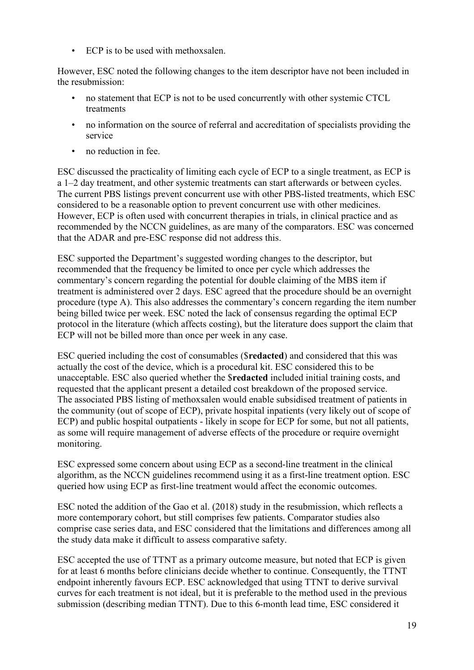• ECP is to be used with methoxsalen.

However, ESC noted the following changes to the item descriptor have not been included in the resubmission:

- no statement that ECP is not to be used concurrently with other systemic CTCL treatments
- no information on the source of referral and accreditation of specialists providing the service
- no reduction in fee.

ESC discussed the practicality of limiting each cycle of ECP to a single treatment, as ECP is a 1–2 day treatment, and other systemic treatments can start afterwards or between cycles. The current PBS listings prevent concurrent use with other PBS-listed treatments, which ESC considered to be a reasonable option to prevent concurrent use with other medicines. However, ECP is often used with concurrent therapies in trials, in clinical practice and as recommended by the NCCN guidelines, as are many of the comparators. ESC was concerned that the ADAR and pre-ESC response did not address this.

ESC supported the Department's suggested wording changes to the descriptor, but recommended that the frequency be limited to once per cycle which addresses the commentary's concern regarding the potential for double claiming of the MBS item if treatment is administered over 2 days. ESC agreed that the procedure should be an overnight procedure (type A). This also addresses the commentary's concern regarding the item number being billed twice per week. ESC noted the lack of consensus regarding the optimal ECP protocol in the literature (which affects costing), but the literature does support the claim that ECP will not be billed more than once per week in any case.

ESC queried including the cost of consumables (\$**redacted**) and considered that this was actually the cost of the device, which is a procedural kit. ESC considered this to be unacceptable. ESC also queried whether the \$**redacted** included initial training costs, and requested that the applicant present a detailed cost breakdown of the proposed service. The associated PBS listing of methoxsalen would enable subsidised treatment of patients in the community (out of scope of ECP), private hospital inpatients (very likely out of scope of ECP) and public hospital outpatients - likely in scope for ECP for some, but not all patients, as some will require management of adverse effects of the procedure or require overnight monitoring.

ESC expressed some concern about using ECP as a second-line treatment in the clinical algorithm, as the NCCN guidelines recommend using it as a first-line treatment option. ESC queried how using ECP as first-line treatment would affect the economic outcomes.

ESC noted the addition of the Gao et al. (2018) study in the resubmission, which reflects a more contemporary cohort, but still comprises few patients. Comparator studies also comprise case series data, and ESC considered that the limitations and differences among all the study data make it difficult to assess comparative safety.

ESC accepted the use of TTNT as a primary outcome measure, but noted that ECP is given for at least 6 months before clinicians decide whether to continue. Consequently, the TTNT endpoint inherently favours ECP. ESC acknowledged that using TTNT to derive survival curves for each treatment is not ideal, but it is preferable to the method used in the previous submission (describing median TTNT). Due to this 6-month lead time, ESC considered it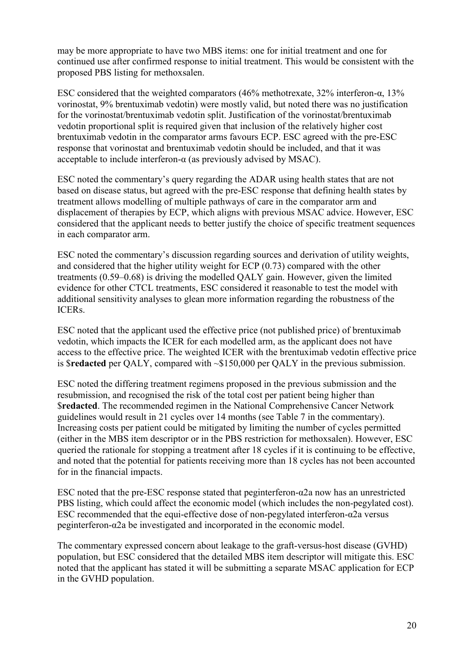may be more appropriate to have two MBS items: one for initial treatment and one for continued use after confirmed response to initial treatment. This would be consistent with the proposed PBS listing for methoxsalen.

ESC considered that the weighted comparators (46% methotrexate,  $32\%$  interferon- $\alpha$ ,  $13\%$ vorinostat, 9% brentuximab vedotin) were mostly valid, but noted there was no justification for the vorinostat/brentuximab vedotin split. Justification of the vorinostat/brentuximab vedotin proportional split is required given that inclusion of the relatively higher cost brentuximab vedotin in the comparator arms favours ECP. ESC agreed with the pre-ESC response that vorinostat and brentuximab vedotin should be included, and that it was acceptable to include interferon- $\alpha$  (as previously advised by MSAC).

ESC noted the commentary's query regarding the ADAR using health states that are not based on disease status, but agreed with the pre-ESC response that defining health states by treatment allows modelling of multiple pathways of care in the comparator arm and displacement of therapies by ECP, which aligns with previous MSAC advice. However, ESC considered that the applicant needs to better justify the choice of specific treatment sequences in each comparator arm.

ESC noted the commentary's discussion regarding sources and derivation of utility weights, and considered that the higher utility weight for ECP (0.73) compared with the other treatments (0.59–0.68) is driving the modelled QALY gain. However, given the limited evidence for other CTCL treatments, ESC considered it reasonable to test the model with additional sensitivity analyses to glean more information regarding the robustness of the ICERs.

ESC noted that the applicant used the effective price (not published price) of brentuximab vedotin, which impacts the ICER for each modelled arm, as the applicant does not have access to the effective price. The weighted ICER with the brentuximab vedotin effective price is \$**redacted** per QALY, compared with ~\$150,000 per QALY in the previous submission.

ESC noted the differing treatment regimens proposed in the previous submission and the resubmission, and recognised the risk of the total cost per patient being higher than \$**redacted**. The recommended regimen in the National Comprehensive Cancer Network guidelines would result in 21 cycles over 14 months (see Table 7 in the commentary). Increasing costs per patient could be mitigated by limiting the number of cycles permitted (either in the MBS item descriptor or in the PBS restriction for methoxsalen). However, ESC queried the rationale for stopping a treatment after 18 cycles if it is continuing to be effective, and noted that the potential for patients receiving more than 18 cycles has not been accounted for in the financial impacts.

ESC noted that the pre-ESC response stated that peginterferon- $\alpha$ 2a now has an unrestricted PBS listing, which could affect the economic model (which includes the non-pegylated cost). ESC recommended that the equi-effective dose of non-pegylated interferon- $\alpha$ 2a versus peginterferon-α2a be investigated and incorporated in the economic model.

The commentary expressed concern about leakage to the graft-versus-host disease (GVHD) population, but ESC considered that the detailed MBS item descriptor will mitigate this. ESC noted that the applicant has stated it will be submitting a separate MSAC application for ECP in the GVHD population.